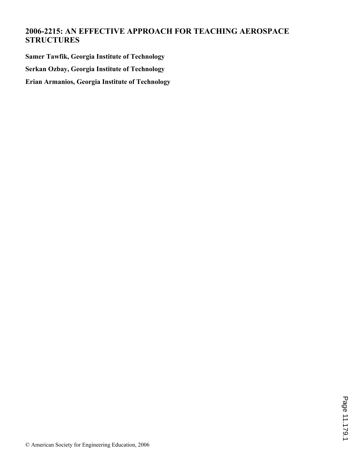# **2006-2215: AN EFFECTIVE APPROACH FOR TEACHING AEROSPACE STRUCTURES**

**Samer Tawfik, Georgia Institute of Technology Serkan Ozbay, Georgia Institute of Technology Erian Armanios, Georgia Institute of Technology**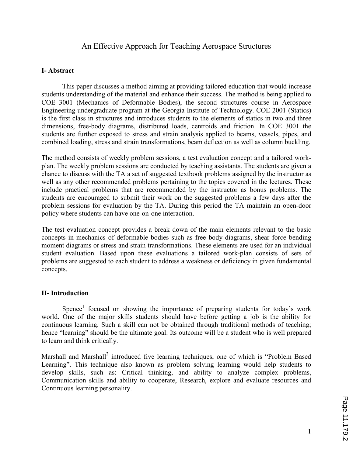## An Effective Approach for Teaching Aerospace Structures

### I- Abstract

 This paper discusses a method aiming at providing tailored education that would increase students understanding of the material and enhance their success. The method is being applied to COE 3001 (Mechanics of Deformable Bodies), the second structures course in Aerospace Engineering undergraduate program at the Georgia Institute of Technology. COE 2001 (Statics) is the first class in structures and introduces students to the elements of statics in two and three dimensions, free-body diagrams, distributed loads, centroids and friction. In COE 3001 the students are further exposed to stress and strain analysis applied to beams, vessels, pipes, and combined loading, stress and strain transformations, beam deflection as well as column buckling.

The method consists of weekly problem sessions, a test evaluation concept and a tailored workplan. The weekly problem sessions are conducted by teaching assistants. The students are given a chance to discuss with the TA a set of suggested textbook problems assigned by the instructor as well as any other recommended problems pertaining to the topics covered in the lectures. These include practical problems that are recommended by the instructor as bonus problems. The students are encouraged to submit their work on the suggested problems a few days after the problem sessions for evaluation by the TA. During this period the TA maintain an open-door policy where students can have one-on-one interaction.

The test evaluation concept provides a break down of the main elements relevant to the basic concepts in mechanics of deformable bodies such as free body diagrams, shear force bending moment diagrams or stress and strain transformations. These elements are used for an individual student evaluation. Based upon these evaluations a tailored work-plan consists of sets of problems are suggested to each student to address a weakness or deficiency in given fundamental concepts.

### II- Introduction

Spence<sup>1</sup> focused on showing the importance of preparing students for today's work world. One of the major skills students should have before getting a job is the ability for continuous learning. Such a skill can not be obtained through traditional methods of teaching; hence "learning" should be the ultimate goal. Its outcome will be a student who is well prepared to learn and think critically.

Marshall and Marshall<sup>2</sup> introduced five learning techniques, one of which is "Problem Based Learning". This technique also known as problem solving learning would help students to develop skills, such as: Critical thinking, and ability to analyze complex problems, Communication skills and ability to cooperate, Research, explore and evaluate resources and Continuous learning personality.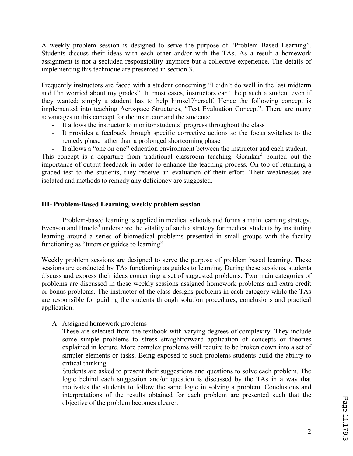A weekly problem session is designed to serve the purpose of "Problem Based Learning". Students discuss their ideas with each other and/or with the TAs. As a result a homework assignment is not a secluded responsibility anymore but a collective experience. The details of implementing this technique are presented in section 3.

Frequently instructors are faced with a student concerning "I didn't do well in the last midterm and I'm worried about my grades". In most cases, instructors can't help such a student even if they wanted; simply a student has to help himself/herself. Hence the following concept is implemented into teaching Aerospace Structures, "Test Evaluation Concept". There are many advantages to this concept for the instructor and the students:

- It allows the instructor to monitor students' progress throughout the class
- It provides a feedback through specific corrective actions so the focus switches to the remedy phase rather than a prolonged shortcoming phase
- It allows a "one on one" education environment between the instructor and each student.

This concept is a departure from traditional classroom teaching. Goankar<sup>3</sup> pointed out the importance of output feedback in order to enhance the teaching process. On top of returning a graded test to the students, they receive an evaluation of their effort. Their weaknesses are isolated and methods to remedy any deficiency are suggested.

### III- Problem-Based Learning, weekly problem session

Problem-based learning is applied in medical schools and forms a main learning strategy. Evenson and Hmelo $4$  underscore the vitality of such a strategy for medical students by instituting learning around a series of biomedical problems presented in small groups with the faculty functioning as "tutors or guides to learning".

Weekly problem sessions are designed to serve the purpose of problem based learning. These sessions are conducted by TAs functioning as guides to learning. During these sessions, students discuss and express their ideas concerning a set of suggested problems. Two main categories of problems are discussed in these weekly sessions assigned homework problems and extra credit or bonus problems. The instructor of the class designs problems in each category while the TAs are responsible for guiding the students through solution procedures, conclusions and practical application.

### A- Assigned homework problems

These are selected from the textbook with varying degrees of complexity. They include some simple problems to stress straightforward application of concepts or theories explained in lecture. More complex problems will require to be broken down into a set of simpler elements or tasks. Being exposed to such problems students build the ability to critical thinking.

Students are asked to present their suggestions and questions to solve each problem. The logic behind each suggestion and/or question is discussed by the TAs in a way that motivates the students to follow the same logic in solving a problem. Conclusions and interpretations of the results obtained for each problem are presented such that the objective of the problem becomes clearer.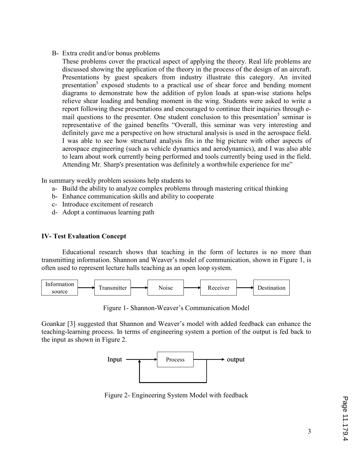B- Extra credit and/or bonus problems

These problems cover the practical aspect of applying the theory. Real life problems are discussed showing the application of the theory in the process of the design of an aircraft. Presentations by guest speakers from industry illustrate this category. An invited presentation<sup>5</sup> exposed students to a practical use of shear force and bending moment diagrams to demonstrate how the addition of pylon loads at span-wise stations helps relieve shear loading and bending moment in the wing. Students were asked to write a report following these presentations and encouraged to continue their inquiries through email questions to the presenter. One student conclusion to this presentation<sup>5</sup> seminar is representative of the gained benefits "Overall, this seminar was very interesting and definitely gave me a perspective on how structural analysis is used in the aerospace field. I was able to see how structural analysis fits in the big picture with other aspects of aerospace engineering (such as vehicle dynamics and aerodynamics), and I was also able to learn about work currently being performed and tools currently being used in the field. Attending Mr. Sharp's presentation was definitely a worthwhile experience for me"

In summary weekly problem sessions help students to

- a- Build the ability to analyze complex problems through mastering critical thinking
- b- Enhance communication skills and ability to cooperate
- c- Introduce excitement of research
- d- Adopt a continuous learning path

### IV- Test Evaluation Concept

Educational research shows that teaching in the form of lectures is no more than transmitting information. Shannon and Weaver's model of communication, shown in Figure 1, is often used to represent lecture halls teaching as an open loop system.



Figure 1- Shannon-Weaver's Communication Model

Goankar [3] suggested that Shannon and Weaver's model with added feedback can enhance the teaching-learning process. In terms of engineering system a portion of the output is fed back to the input as shown in Figure 2.



Figure 2- Engineering System Model with feedback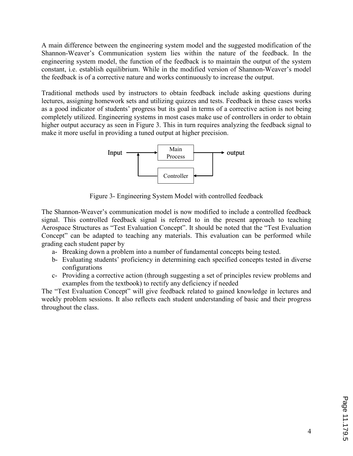A main difference between the engineering system model and the suggested modification of the Shannon-Weaver's Communication system lies within the nature of the feedback. In the engineering system model, the function of the feedback is to maintain the output of the system constant, i.e. establish equilibrium. While in the modified version of Shannon-Weaver's model the feedback is of a corrective nature and works continuously to increase the output.

Traditional methods used by instructors to obtain feedback include asking questions during lectures, assigning homework sets and utilizing quizzes and tests. Feedback in these cases works as a good indicator of students' progress but its goal in terms of a corrective action is not being completely utilized. Engineering systems in most cases make use of controllers in order to obtain higher output accuracy as seen in Figure 3. This in turn requires analyzing the feedback signal to make it more useful in providing a tuned output at higher precision.



Figure 3- Engineering System Model with controlled feedback

The Shannon-Weaver's communication model is now modified to include a controlled feedback signal. This controlled feedback signal is referred to in the present approach to teaching Aerospace Structures as "Test Evaluation Concept". It should be noted that the "Test Evaluation Concept" can be adapted to teaching any materials. This evaluation can be performed while grading each student paper by

- a- Breaking down a problem into a number of fundamental concepts being tested.
- b- Evaluating students' proficiency in determining each specified concepts tested in diverse configurations
- c- Providing a corrective action (through suggesting a set of principles review problems and examples from the textbook) to rectify any deficiency if needed

The "Test Evaluation Concept" will give feedback related to gained knowledge in lectures and weekly problem sessions. It also reflects each student understanding of basic and their progress throughout the class.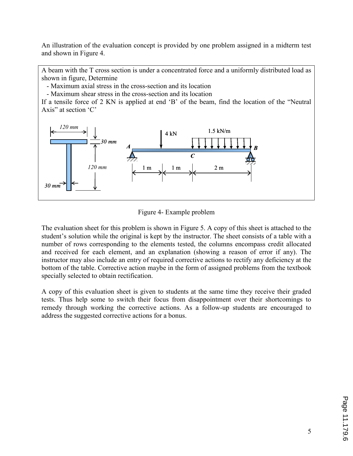An illustration of the evaluation concept is provided by one problem assigned in a midterm test and shown in Figure 4.

A beam with the T cross section is under a concentrated force and a uniformly distributed load as shown in figure, Determine

- Maximum axial stress in the cross-section and its location

- Maximum shear stress in the cross-section and its location

If a tensile force of 2 KN is applied at end 'B' of the beam, find the location of the "Neutral Axis" at section 'C'



Figure 4- Example problem

The evaluation sheet for this problem is shown in Figure 5. A copy of this sheet is attached to the student's solution while the original is kept by the instructor. The sheet consists of a table with a number of rows corresponding to the elements tested, the columns encompass credit allocated and received for each element, and an explanation (showing a reason of error if any). The instructor may also include an entry of required corrective actions to rectify any deficiency at the bottom of the table. Corrective action maybe in the form of assigned problems from the textbook specially selected to obtain rectification.

A copy of this evaluation sheet is given to students at the same time they receive their graded tests. Thus help some to switch their focus from disappointment over their shortcomings to remedy through working the corrective actions. As a follow-up students are encouraged to address the suggested corrective actions for a bonus.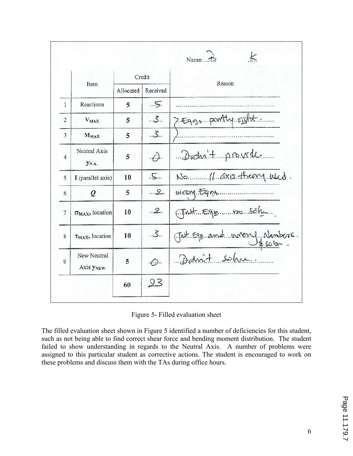|                |                           |           |                           | $\leq$<br>Name: $\therefore$ $\frac{1}{2}$ |
|----------------|---------------------------|-----------|---------------------------|--------------------------------------------|
|                | Item                      | Credit    |                           | Reason                                     |
|                |                           | Allocated | Received                  |                                            |
| $\mathbf{1}$   | Reactions                 | 5         | Ş.                        |                                            |
| $\overline{2}$ | <b>VMAX</b>               | 5         | 3.5                       | 7. Egns portly right.                      |
| 3              | $M_{MAX}$                 | 5         | .5.                       |                                            |
| $\overline{4}$ | Neutral Axis<br>YN.A.     | 5         | $\cdot$ (.).              | Didn't provide                             |
| 5              | I (parallel axis)         | 10        | $\cdot$ 5                 | No (1 axis theory used.                    |
| 6              | $\varrho$                 | 5         | $\ldots$ 2.               | WXOUS. FOUND.                              |
| $\overline{7}$ | $\sigma_{MAX}$ , location | 10        | $\cdot \cdot \mathcal{L}$ | Trust Equemmon Sola                        |
| 8              | $\tau_{MAX}$ , location   | 10        | .5.                       | Chat Equand unong Nembers.                 |
| 9              | New Neutral<br>Axis YNEW. | 5         | $\cdot$ C).               | Danit sohre.                               |
|                |                           | 60        | 23                        |                                            |

Figure 5- Filled evaluation sheet

The filled evaluation sheet shown in Figure 5 identified a number of deficiencies for this student, such as not being able to find correct shear force and bending moment distribution. The student failed to show understanding in regards to the Neutral Axis. A number of problems were assigned to this particular student as corrective actions. The student is encouraged to work on these problems and discuss them with the TAs during office hours.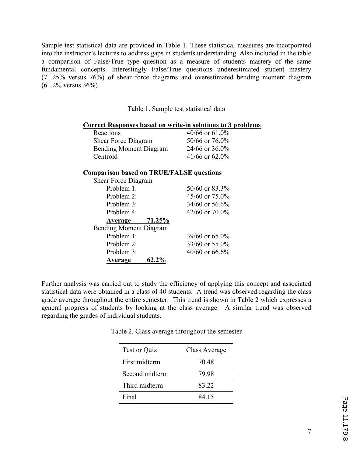Sample test statistical data are provided in Table 1. These statistical measures are incorporated into the instructor's lectures to address gaps in students understanding. Also included in the table a comparison of False/True type question as a measure of students mastery of the same fundamental concepts. Interestingly False/True questions underestimated student mastery (71.25% versus 76%) of shear force diagrams and overestimated bending moment diagram (61.2% versus 36%).

Table 1. Sample test statistical data

### Correct Responses based on write-in solutions to 3 problems

| Reactions                     | 40/66 or $61.0\%$ |
|-------------------------------|-------------------|
| <b>Shear Force Diagram</b>    | 50/66 or 76.0%    |
| <b>Bending Moment Diagram</b> | 24/66 or 36.0%    |
| Centroid                      | $41/66$ or 62.0%  |

### Comparison based on TRUE/FALSE questions

| Shear Force Diagram           |          |                     |
|-------------------------------|----------|---------------------|
| Problem 1:                    |          | 50/60 or 83.3%      |
| Problem 2:                    |          | $45/60$ or $75.0\%$ |
| Problem 3:                    |          | 34/60 or 56.6%      |
| Problem 4:                    |          | 42/60 or 70.0%      |
| Average                       | 71.25%   |                     |
| <b>Bending Moment Diagram</b> |          |                     |
| Problem 1:                    |          | $39/60$ or 65.0%    |
| Problem 2:                    |          | $33/60$ or 55.0%    |
| Problem 3:                    |          | $40/60$ or 66.6%    |
| Average                       | $62.2\%$ |                     |

Further analysis was carried out to study the efficiency of applying this concept and associated statistical data were obtained in a class of 40 students. A trend was observed regarding the class grade average throughout the entire semester. This trend is shown in Table 2 which expresses a general progress of students by looking at the class average. A similar trend was observed regarding the grades of individual students.

| <b>Test or Quiz</b> | Class Average |
|---------------------|---------------|
| First midterm       | 70.48         |
| Second midterm      | 79 98         |
| Third midterm       | 83.22         |
| Final               | 84 15         |